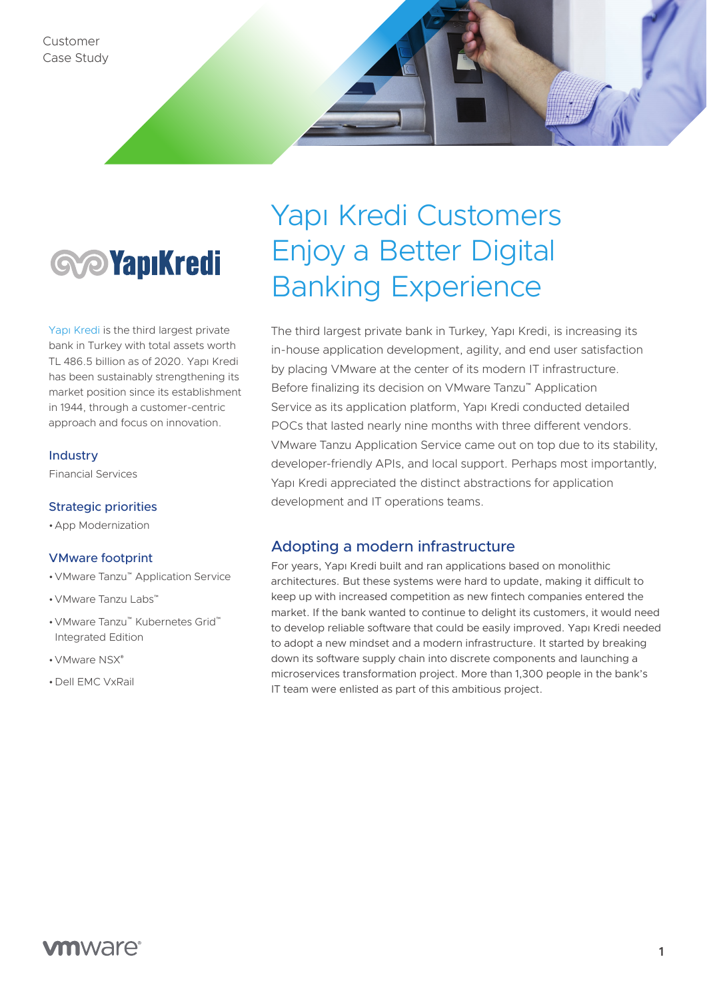

[Yapı Kredi](http://yapikredi.com.tr) is the third largest private bank in Turkey with total assets worth TL 486.5 billion as of 2020. Yapı Kredi has been sustainably strengthening its market position since its establishment in 1944, through a customer-centric approach and focus on innovation.

#### Industry

Financial Services

#### Strategic priorities

•App Modernization

#### VMware footprint

- •VMware Tanzu™ Application Service
- •VMware Tanzu Labs™
- •VMware Tanzu™ Kubernetes Grid™ Integrated Edition
- •VMware NSX®
- •Dell EMC VxRail

# Yapı Kredi Customers Enjoy a Better Digital Banking Experience

The third largest private bank in Turkey, Yapı Kredi, is increasing its in-house application development, agility, and end user satisfaction by placing VMware at the center of its modern IT infrastructure. Before finalizing its decision on VMware Tanzu™ Application Service as its application platform, Yapı Kredi conducted detailed POCs that lasted nearly nine months with three different vendors. VMware Tanzu Application Service came out on top due to its stability, developer-friendly APIs, and local support. Perhaps most importantly, Yapı Kredi appreciated the distinct abstractions for application development and IT operations teams.

#### Adopting a modern infrastructure

For years, Yapı Kredi built and ran applications based on monolithic architectures. But these systems were hard to update, making it difficult to keep up with increased competition as new fintech companies entered the market. If the bank wanted to continue to delight its customers, it would need to develop reliable software that could be easily improved. Yapı Kredi needed to adopt a new mindset and a modern infrastructure. It started by breaking down its software supply chain into discrete components and launching a microservices transformation project. More than 1,300 people in the bank's IT team were enlisted as part of this ambitious project.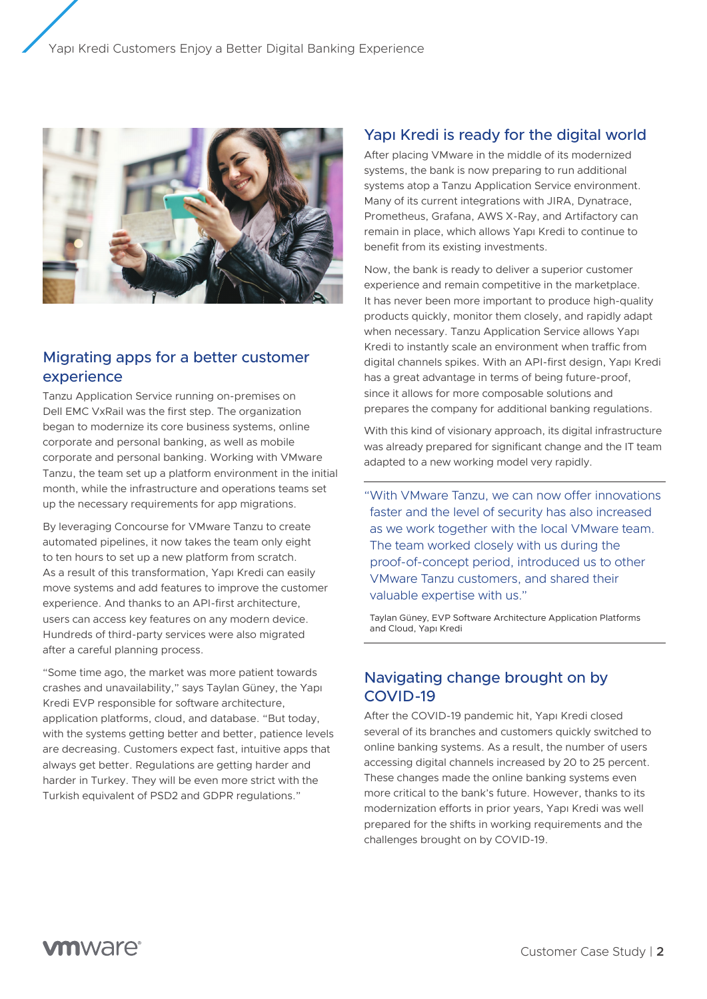

## Migrating apps for a better customer experience

Tanzu Application Service running on-premises on Dell EMC VxRail was the first step. The organization began to modernize its core business systems, online corporate and personal banking, as well as mobile corporate and personal banking. Working with VMware Tanzu, the team set up a platform environment in the initial month, while the infrastructure and operations teams set up the necessary requirements for app migrations.

By leveraging Concourse for VMware Tanzu to create automated pipelines, it now takes the team only eight to ten hours to set up a new platform from scratch. As a result of this transformation, Yapı Kredi can easily move systems and add features to improve the customer experience. And thanks to an API-first architecture, users can access key features on any modern device. Hundreds of third-party services were also migrated after a careful planning process.

"Some time ago, the market was more patient towards crashes and unavailability," says Taylan Güney, the Yapı Kredi EVP responsible for software architecture, application platforms, cloud, and database. "But today, with the systems getting better and better, patience levels are decreasing. Customers expect fast, intuitive apps that always get better. Regulations are getting harder and harder in Turkey. They will be even more strict with the Turkish equivalent of PSD2 and GDPR regulations."

## Yapı Kredi is ready for the digital world

After placing VMware in the middle of its modernized systems, the bank is now preparing to run additional systems atop a Tanzu Application Service environment. Many of its current integrations with JIRA, Dynatrace, Prometheus, Grafana, AWS X-Ray, and Artifactory can remain in place, which allows Yapı Kredi to continue to benefit from its existing investments.

Now, the bank is ready to deliver a superior customer experience and remain competitive in the marketplace. It has never been more important to produce high-quality products quickly, monitor them closely, and rapidly adapt when necessary. Tanzu Application Service allows Yapı Kredi to instantly scale an environment when traffic from digital channels spikes. With an API-first design, Yapı Kredi has a great advantage in terms of being future-proof, since it allows for more composable solutions and prepares the company for additional banking regulations.

With this kind of visionary approach, its digital infrastructure was already prepared for significant change and the IT team adapted to a new working model very rapidly.

"With VMware Tanzu, we can now offer innovations faster and the level of security has also increased as we work together with the local VMware team. The team worked closely with us during the proof-of-concept period, introduced us to other VMware Tanzu customers, and shared their valuable expertise with us."

Taylan Güney, EVP Software Architecture Application Platforms and Cloud, Yapı Kredi

### Navigating change brought on by COVID-19

After the COVID-19 pandemic hit, Yapı Kredi closed several of its branches and customers quickly switched to online banking systems. As a result, the number of users accessing digital channels increased by 20 to 25 percent. These changes made the online banking systems even more critical to the bank's future. However, thanks to its modernization efforts in prior years, Yapı Kredi was well prepared for the shifts in working requirements and the challenges brought on by COVID-19.